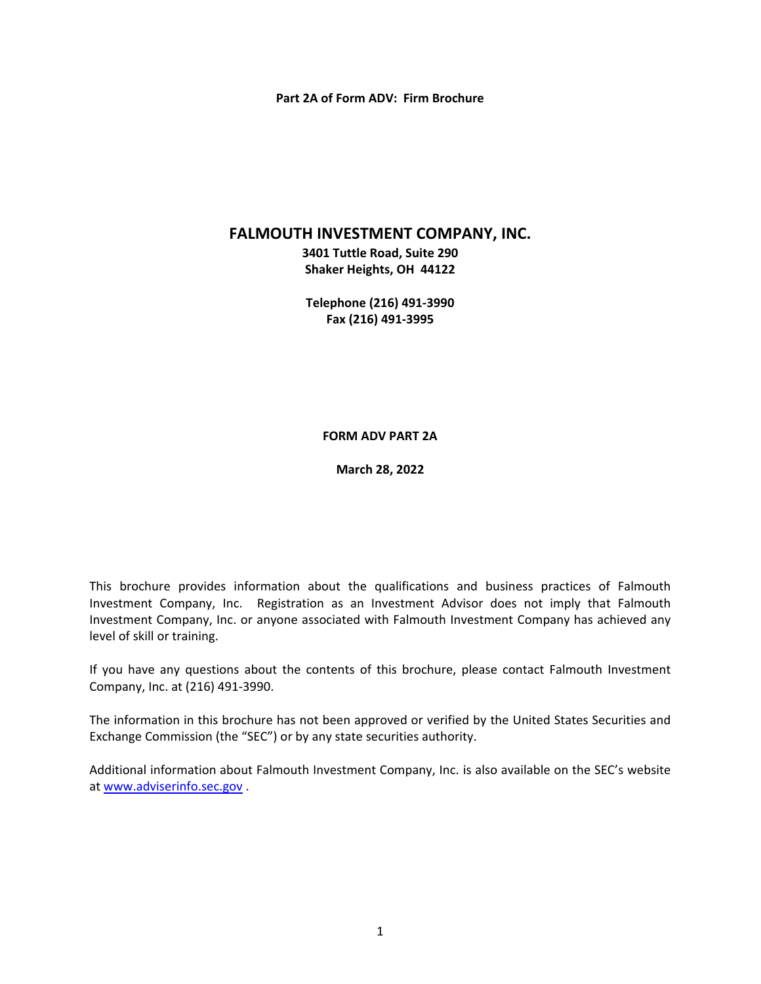#### **Part 2A of Form ADV: Firm Brochure**

### **FALMOUTH INVESTMENT COMPANY, INC.**

**3401 Tuttle Road, Suite 290 Shaker Heights, OH 44122** 

**Telephone (216) 491‐3990 Fax (216) 491‐3995** 

#### **FORM ADV PART 2A**

**March 28, 2022** 

This brochure provides information about the qualifications and business practices of Falmouth Investment Company, Inc. Registration as an Investment Advisor does not imply that Falmouth Investment Company, Inc. or anyone associated with Falmouth Investment Company has achieved any level of skill or training.

If you have any questions about the contents of this brochure, please contact Falmouth Investment Company, Inc. at (216) 491‐3990.

The information in this brochure has not been approved or verified by the United States Securities and Exchange Commission (the "SEC") or by any state securities authority.

Additional information about Falmouth Investment Company, Inc. is also available on the SEC's website at www.adviserinfo.sec.gov .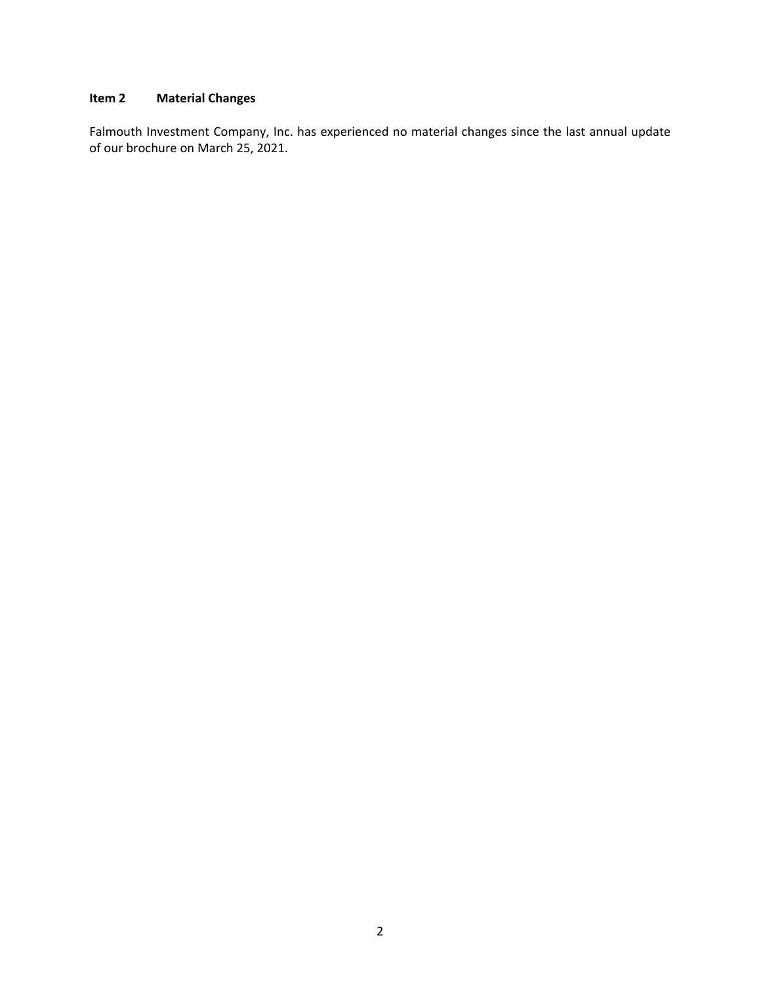# **Item 2 Material Changes**

Falmouth Investment Company, Inc. has experienced no material changes since the last annual update of our brochure on March 25, 2021.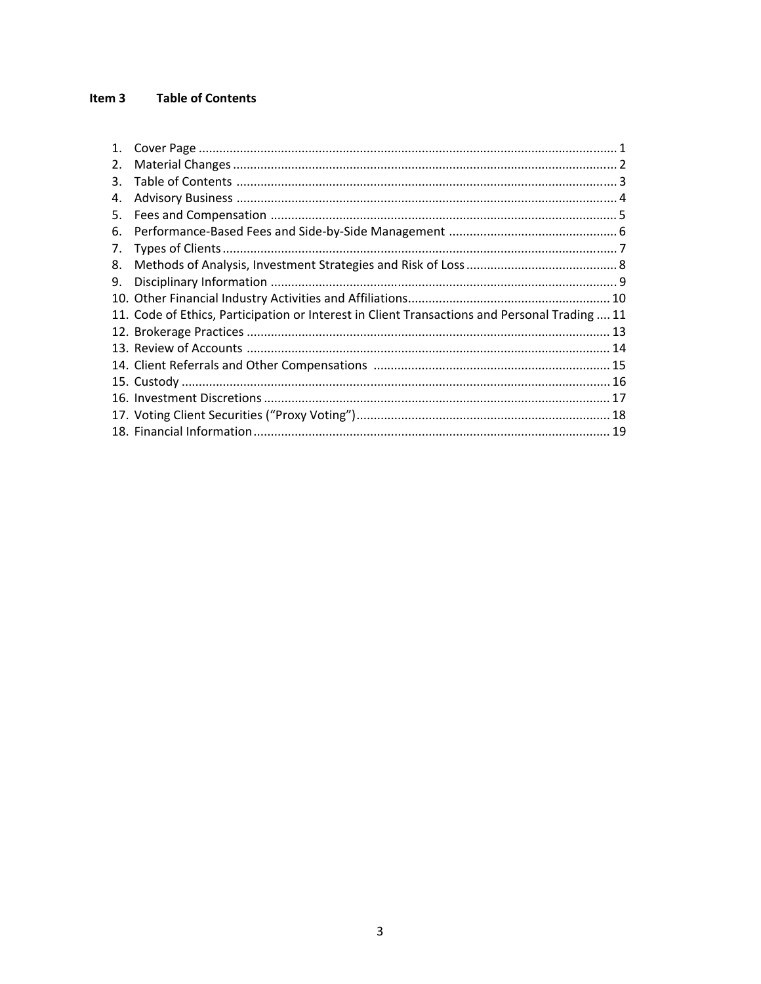#### Item 3 **Table of Contents**

| 1 <sup>1</sup> |                                                                                               |  |
|----------------|-----------------------------------------------------------------------------------------------|--|
| 2.             |                                                                                               |  |
| 3.             |                                                                                               |  |
| 4.             |                                                                                               |  |
| 5.             |                                                                                               |  |
| 6.             |                                                                                               |  |
| 7.             |                                                                                               |  |
| 8.             |                                                                                               |  |
| 9.             |                                                                                               |  |
|                |                                                                                               |  |
|                | 11. Code of Ethics, Participation or Interest in Client Transactions and Personal Trading  11 |  |
|                |                                                                                               |  |
|                |                                                                                               |  |
|                |                                                                                               |  |
|                |                                                                                               |  |
|                |                                                                                               |  |
|                |                                                                                               |  |
|                |                                                                                               |  |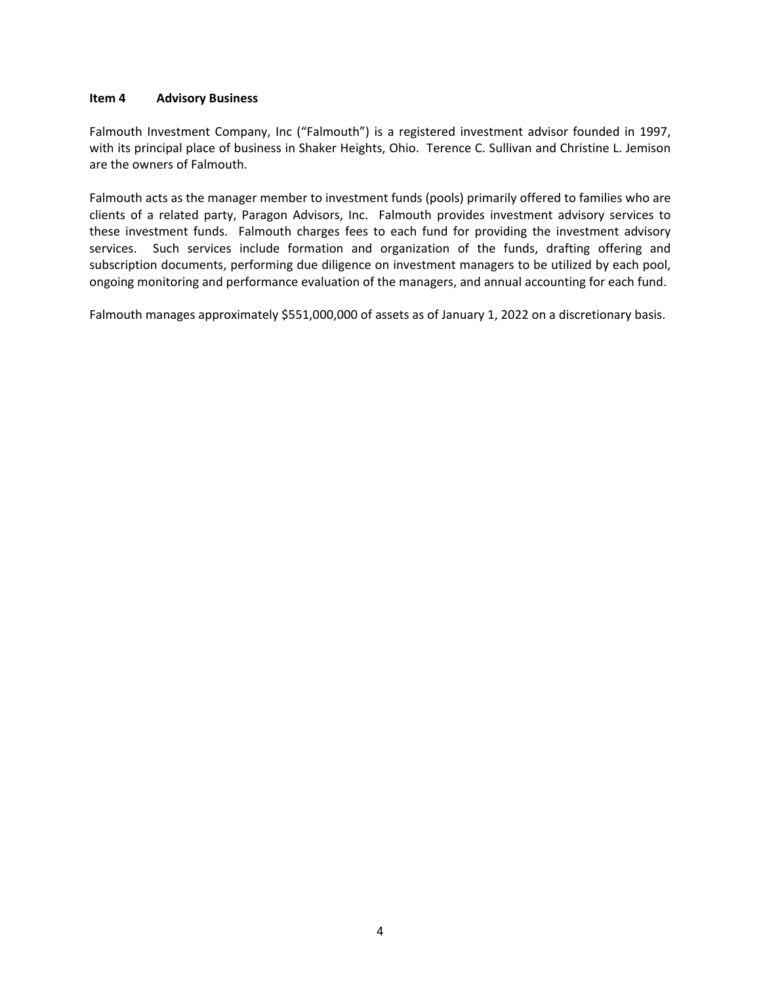#### **Item 4 Advisory Business**

Falmouth Investment Company, Inc ("Falmouth") is a registered investment advisor founded in 1997, with its principal place of business in Shaker Heights, Ohio. Terence C. Sullivan and Christine L. Jemison are the owners of Falmouth.

Falmouth acts as the manager member to investment funds (pools) primarily offered to families who are clients of a related party, Paragon Advisors, Inc. Falmouth provides investment advisory services to these investment funds. Falmouth charges fees to each fund for providing the investment advisory services. Such services include formation and organization of the funds, drafting offering and subscription documents, performing due diligence on investment managers to be utilized by each pool, ongoing monitoring and performance evaluation of the managers, and annual accounting for each fund.

Falmouth manages approximately \$551,000,000 of assets as of January 1, 2022 on a discretionary basis.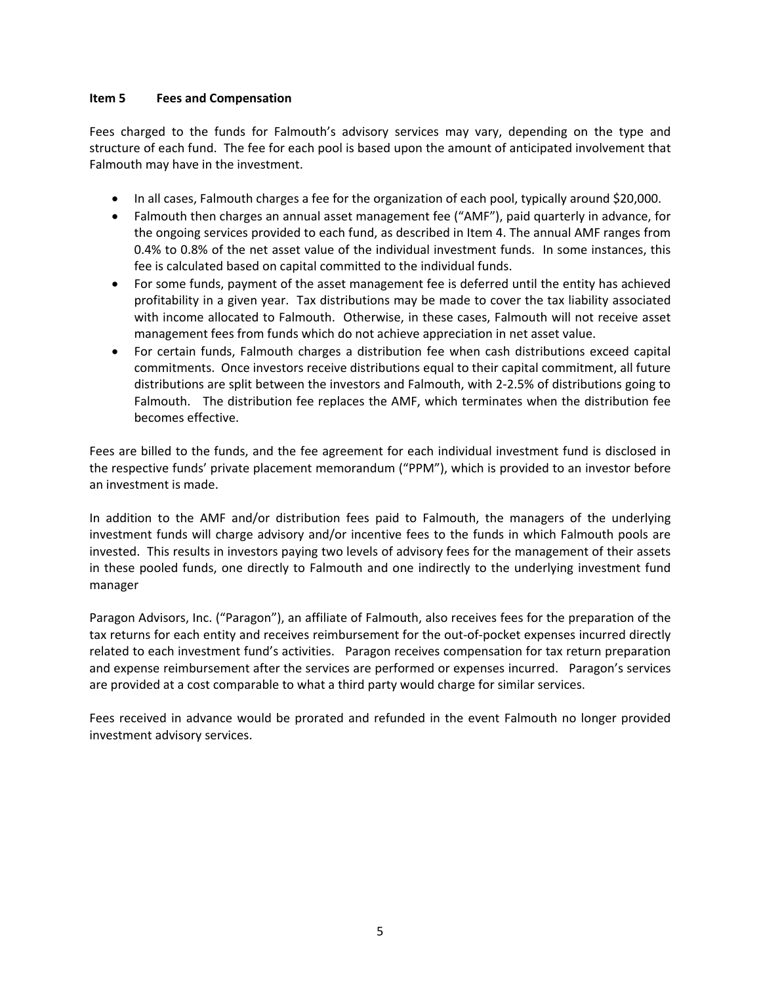#### **Item 5 Fees and Compensation**

Fees charged to the funds for Falmouth's advisory services may vary, depending on the type and structure of each fund. The fee for each pool is based upon the amount of anticipated involvement that Falmouth may have in the investment.

- In all cases, Falmouth charges a fee for the organization of each pool, typically around \$20,000.
- Falmouth then charges an annual asset management fee ("AMF"), paid quarterly in advance, for the ongoing services provided to each fund, as described in Item 4. The annual AMF ranges from 0.4% to 0.8% of the net asset value of the individual investment funds. In some instances, this fee is calculated based on capital committed to the individual funds.
- For some funds, payment of the asset management fee is deferred until the entity has achieved profitability in a given year. Tax distributions may be made to cover the tax liability associated with income allocated to Falmouth. Otherwise, in these cases, Falmouth will not receive asset management fees from funds which do not achieve appreciation in net asset value.
- For certain funds, Falmouth charges a distribution fee when cash distributions exceed capital commitments. Once investors receive distributions equal to their capital commitment, all future distributions are split between the investors and Falmouth, with 2‐2.5% of distributions going to Falmouth. The distribution fee replaces the AMF, which terminates when the distribution fee becomes effective.

Fees are billed to the funds, and the fee agreement for each individual investment fund is disclosed in the respective funds' private placement memorandum ("PPM"), which is provided to an investor before an investment is made.

In addition to the AMF and/or distribution fees paid to Falmouth, the managers of the underlying investment funds will charge advisory and/or incentive fees to the funds in which Falmouth pools are invested. This results in investors paying two levels of advisory fees for the management of their assets in these pooled funds, one directly to Falmouth and one indirectly to the underlying investment fund manager

Paragon Advisors, Inc. ("Paragon"), an affiliate of Falmouth, also receives fees for the preparation of the tax returns for each entity and receives reimbursement for the out‐of‐pocket expenses incurred directly related to each investment fund's activities. Paragon receives compensation for tax return preparation and expense reimbursement after the services are performed or expenses incurred. Paragon's services are provided at a cost comparable to what a third party would charge for similar services.

Fees received in advance would be prorated and refunded in the event Falmouth no longer provided investment advisory services.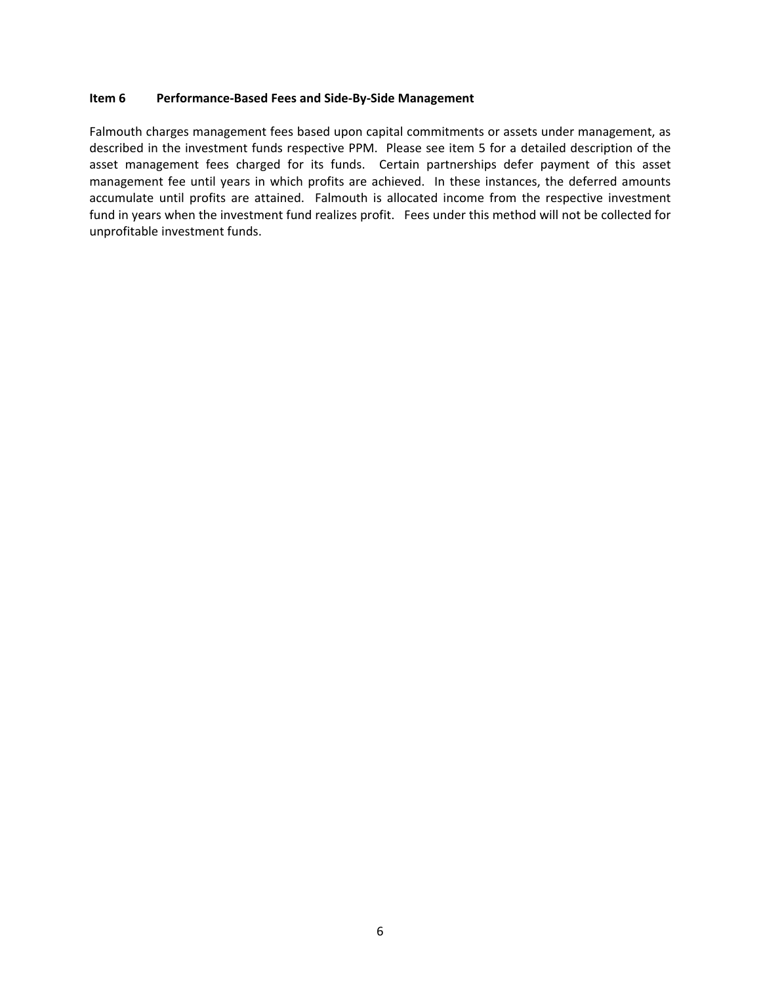#### **Item 6 Performance‐Based Fees and Side‐By‐Side Management**

Falmouth charges management fees based upon capital commitments or assets under management, as described in the investment funds respective PPM. Please see item 5 for a detailed description of the asset management fees charged for its funds. Certain partnerships defer payment of this asset management fee until years in which profits are achieved. In these instances, the deferred amounts accumulate until profits are attained. Falmouth is allocated income from the respective investment fund in years when the investment fund realizes profit. Fees under this method will not be collected for unprofitable investment funds.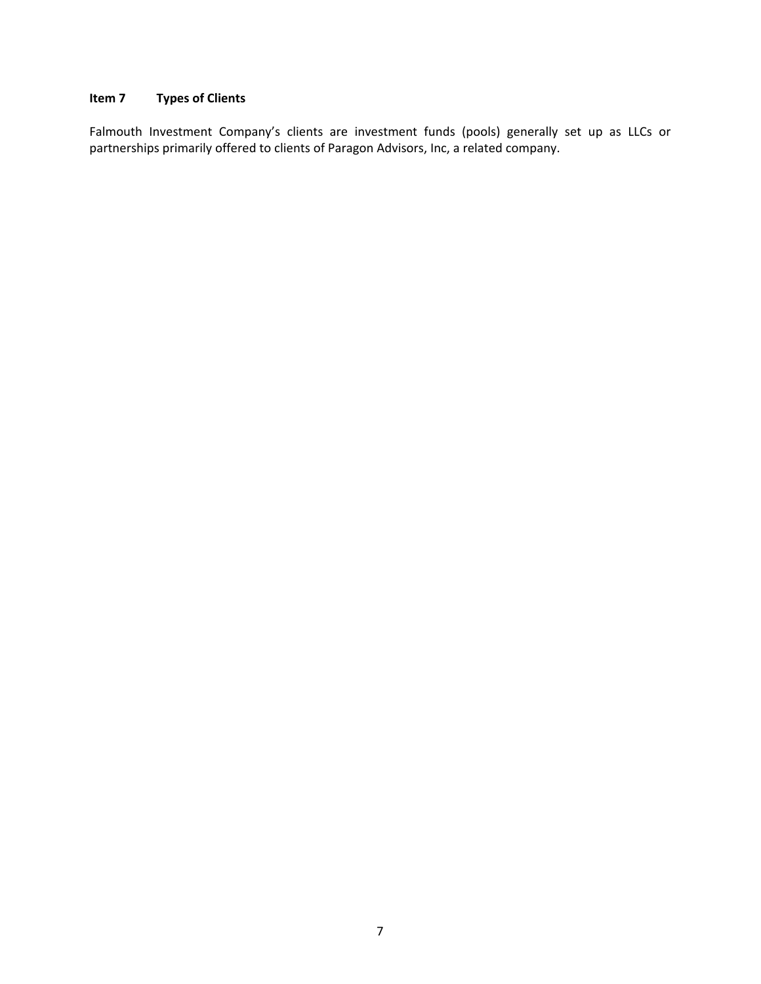## **Item 7 Types of Clients**

Falmouth Investment Company's clients are investment funds (pools) generally set up as LLCs or partnerships primarily offered to clients of Paragon Advisors, Inc, a related company.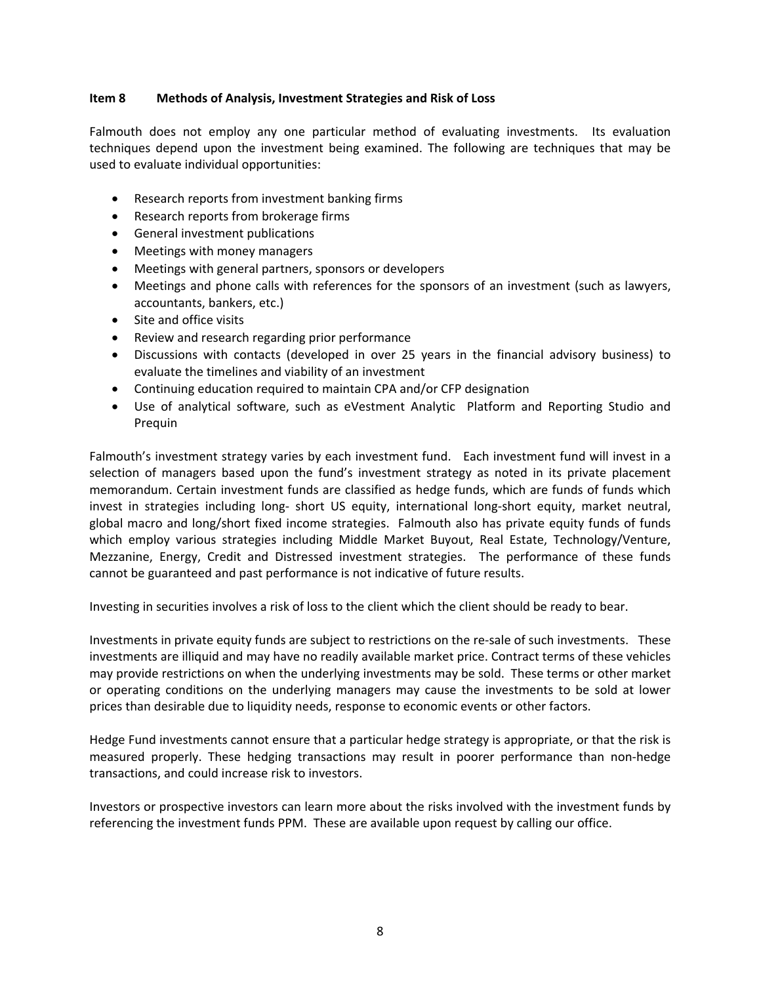#### **Item 8 Methods of Analysis, Investment Strategies and Risk of Loss**

Falmouth does not employ any one particular method of evaluating investments. Its evaluation techniques depend upon the investment being examined. The following are techniques that may be used to evaluate individual opportunities:

- Research reports from investment banking firms
- Research reports from brokerage firms
- General investment publications
- Meetings with money managers
- Meetings with general partners, sponsors or developers
- Meetings and phone calls with references for the sponsors of an investment (such as lawyers, accountants, bankers, etc.)
- Site and office visits
- Review and research regarding prior performance
- Discussions with contacts (developed in over 25 years in the financial advisory business) to evaluate the timelines and viability of an investment
- Continuing education required to maintain CPA and/or CFP designation
- Use of analytical software, such as eVestment Analytic Platform and Reporting Studio and Prequin

Falmouth's investment strategy varies by each investment fund. Each investment fund will invest in a selection of managers based upon the fund's investment strategy as noted in its private placement memorandum. Certain investment funds are classified as hedge funds, which are funds of funds which invest in strategies including long- short US equity, international long-short equity, market neutral, global macro and long/short fixed income strategies. Falmouth also has private equity funds of funds which employ various strategies including Middle Market Buyout, Real Estate, Technology/Venture, Mezzanine, Energy, Credit and Distressed investment strategies. The performance of these funds cannot be guaranteed and past performance is not indicative of future results.

Investing in securities involves a risk of loss to the client which the client should be ready to bear.

Investments in private equity funds are subject to restrictions on the re‐sale of such investments. These investments are illiquid and may have no readily available market price. Contract terms of these vehicles may provide restrictions on when the underlying investments may be sold. These terms or other market or operating conditions on the underlying managers may cause the investments to be sold at lower prices than desirable due to liquidity needs, response to economic events or other factors.

Hedge Fund investments cannot ensure that a particular hedge strategy is appropriate, or that the risk is measured properly. These hedging transactions may result in poorer performance than non-hedge transactions, and could increase risk to investors.

Investors or prospective investors can learn more about the risks involved with the investment funds by referencing the investment funds PPM. These are available upon request by calling our office.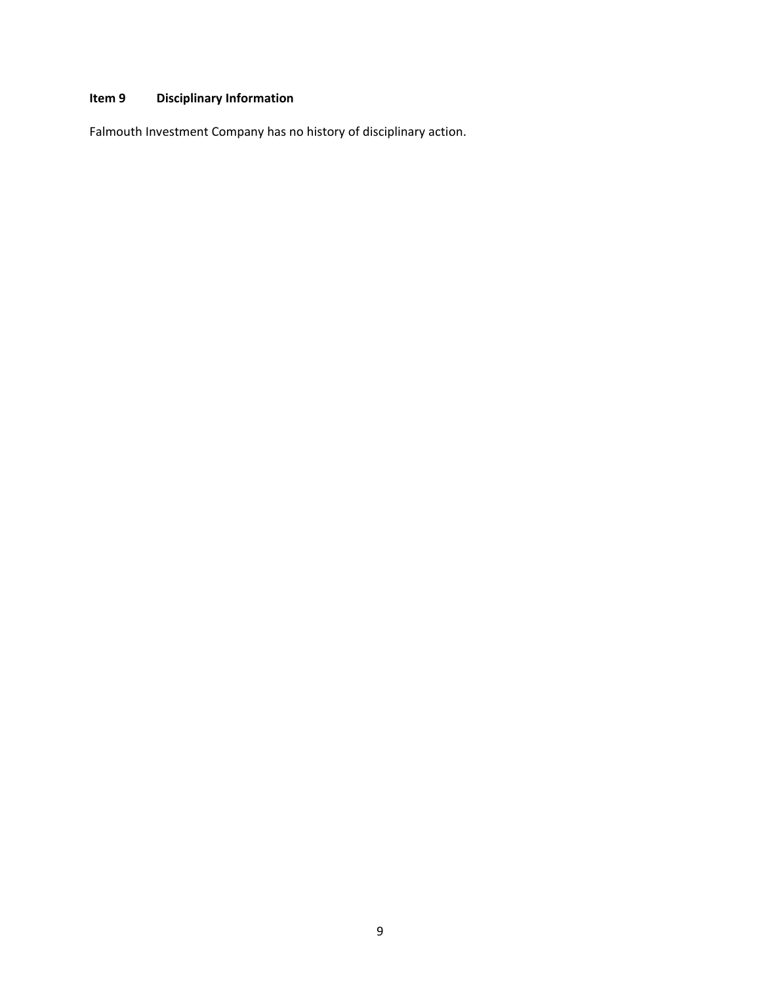# **Item 9 Disciplinary Information**

Falmouth Investment Company has no history of disciplinary action.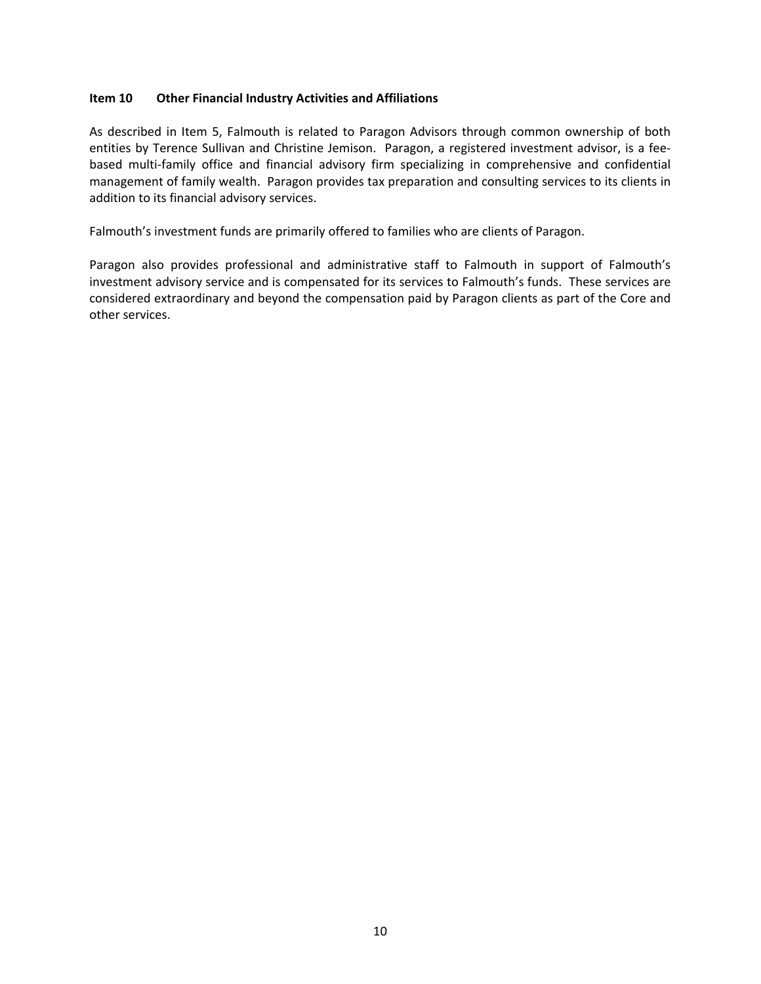#### **Item 10 Other Financial Industry Activities and Affiliations**

As described in Item 5, Falmouth is related to Paragon Advisors through common ownership of both entities by Terence Sullivan and Christine Jemison. Paragon, a registered investment advisor, is a feebased multi‐family office and financial advisory firm specializing in comprehensive and confidential management of family wealth. Paragon provides tax preparation and consulting services to its clients in addition to its financial advisory services.

Falmouth's investment funds are primarily offered to families who are clients of Paragon.

Paragon also provides professional and administrative staff to Falmouth in support of Falmouth's investment advisory service and is compensated for its services to Falmouth's funds. These services are considered extraordinary and beyond the compensation paid by Paragon clients as part of the Core and other services.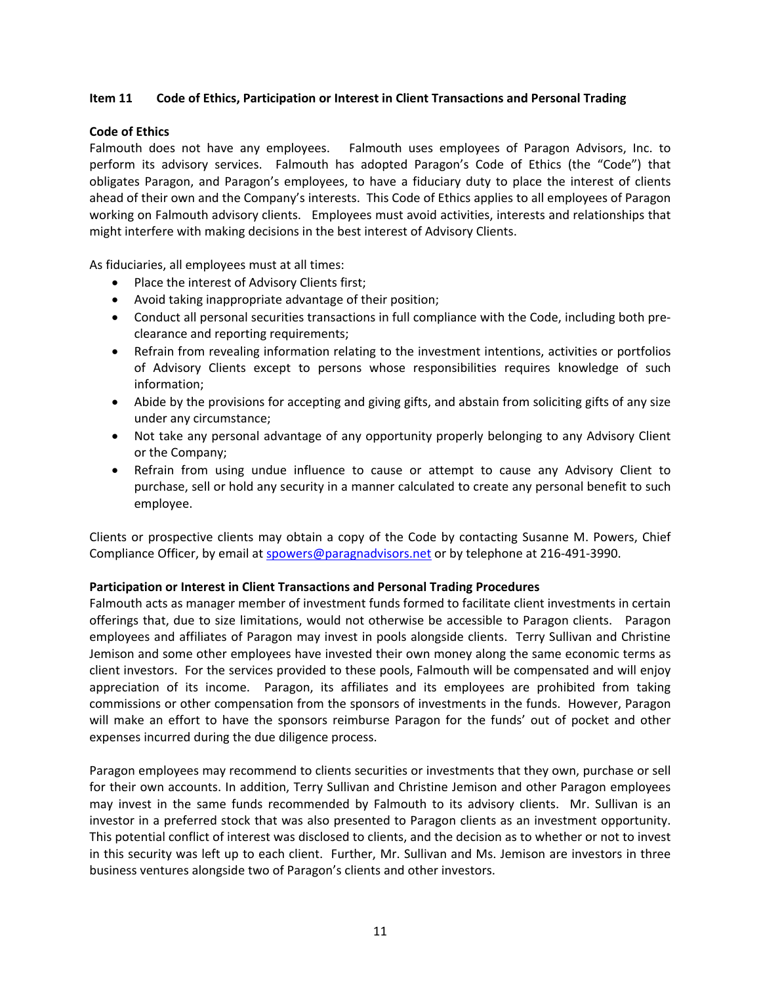#### **Item 11 Code of Ethics, Participation or Interest in Client Transactions and Personal Trading**

#### **Code of Ethics**

Falmouth does not have any employees. Falmouth uses employees of Paragon Advisors, Inc. to perform its advisory services. Falmouth has adopted Paragon's Code of Ethics (the "Code") that obligates Paragon, and Paragon's employees, to have a fiduciary duty to place the interest of clients ahead of their own and the Company's interests. This Code of Ethics applies to all employees of Paragon working on Falmouth advisory clients. Employees must avoid activities, interests and relationships that might interfere with making decisions in the best interest of Advisory Clients.

As fiduciaries, all employees must at all times:

- Place the interest of Advisory Clients first;
- Avoid taking inappropriate advantage of their position;
- Conduct all personal securities transactions in full compliance with the Code, including both preclearance and reporting requirements;
- Refrain from revealing information relating to the investment intentions, activities or portfolios of Advisory Clients except to persons whose responsibilities requires knowledge of such information;
- Abide by the provisions for accepting and giving gifts, and abstain from soliciting gifts of any size under any circumstance;
- Not take any personal advantage of any opportunity properly belonging to any Advisory Client or the Company;
- Refrain from using undue influence to cause or attempt to cause any Advisory Client to purchase, sell or hold any security in a manner calculated to create any personal benefit to such employee.

Clients or prospective clients may obtain a copy of the Code by contacting Susanne M. Powers, Chief Compliance Officer, by email at spowers@paragnadvisors.net or by telephone at 216-491-3990.

#### **Participation or Interest in Client Transactions and Personal Trading Procedures**

Falmouth acts as manager member of investment funds formed to facilitate client investments in certain offerings that, due to size limitations, would not otherwise be accessible to Paragon clients. Paragon employees and affiliates of Paragon may invest in pools alongside clients. Terry Sullivan and Christine Jemison and some other employees have invested their own money along the same economic terms as client investors. For the services provided to these pools, Falmouth will be compensated and will enjoy appreciation of its income. Paragon, its affiliates and its employees are prohibited from taking commissions or other compensation from the sponsors of investments in the funds. However, Paragon will make an effort to have the sponsors reimburse Paragon for the funds' out of pocket and other expenses incurred during the due diligence process.

Paragon employees may recommend to clients securities or investments that they own, purchase or sell for their own accounts. In addition, Terry Sullivan and Christine Jemison and other Paragon employees may invest in the same funds recommended by Falmouth to its advisory clients. Mr. Sullivan is an investor in a preferred stock that was also presented to Paragon clients as an investment opportunity. This potential conflict of interest was disclosed to clients, and the decision as to whether or not to invest in this security was left up to each client. Further, Mr. Sullivan and Ms. Jemison are investors in three business ventures alongside two of Paragon's clients and other investors.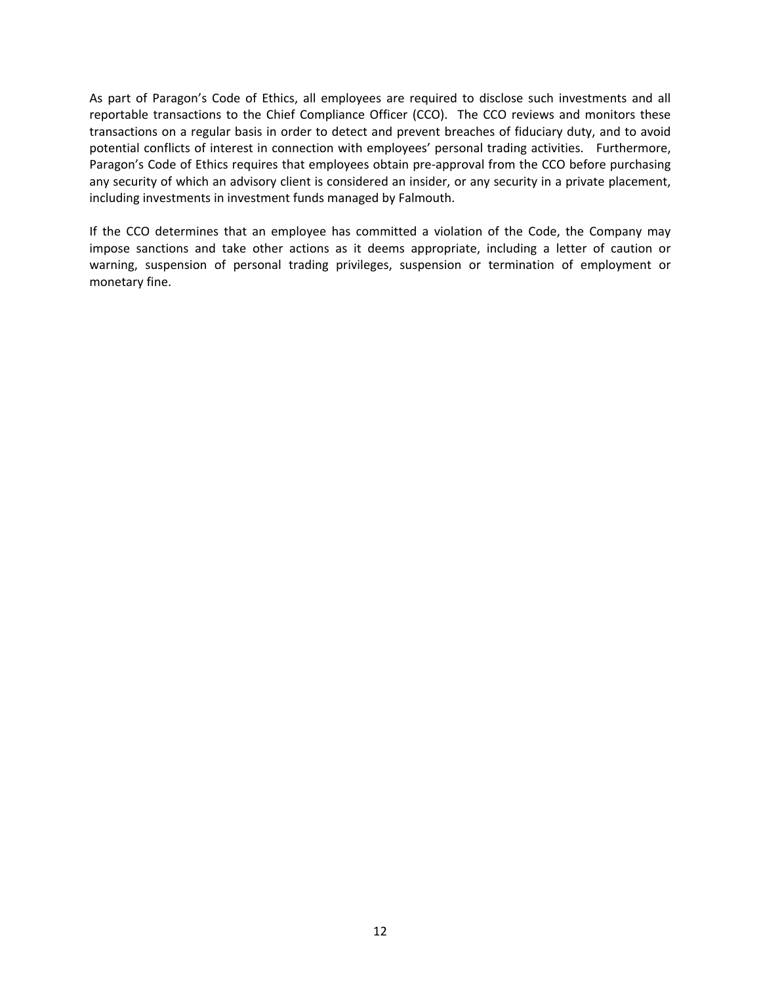As part of Paragon's Code of Ethics, all employees are required to disclose such investments and all reportable transactions to the Chief Compliance Officer (CCO). The CCO reviews and monitors these transactions on a regular basis in order to detect and prevent breaches of fiduciary duty, and to avoid potential conflicts of interest in connection with employees' personal trading activities. Furthermore, Paragon's Code of Ethics requires that employees obtain pre‐approval from the CCO before purchasing any security of which an advisory client is considered an insider, or any security in a private placement, including investments in investment funds managed by Falmouth.

If the CCO determines that an employee has committed a violation of the Code, the Company may impose sanctions and take other actions as it deems appropriate, including a letter of caution or warning, suspension of personal trading privileges, suspension or termination of employment or monetary fine.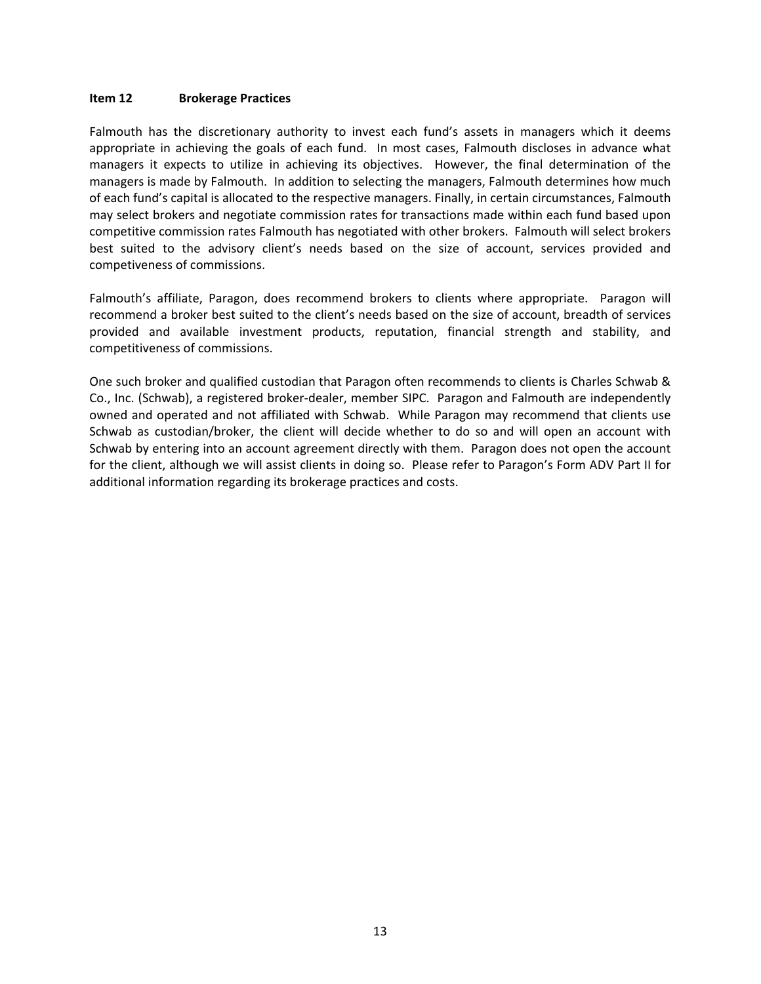#### **Item 12 Brokerage Practices**

Falmouth has the discretionary authority to invest each fund's assets in managers which it deems appropriate in achieving the goals of each fund. In most cases, Falmouth discloses in advance what managers it expects to utilize in achieving its objectives. However, the final determination of the managers is made by Falmouth. In addition to selecting the managers, Falmouth determines how much of each fund's capital is allocated to the respective managers. Finally, in certain circumstances, Falmouth may select brokers and negotiate commission rates for transactions made within each fund based upon competitive commission rates Falmouth has negotiated with other brokers. Falmouth will select brokers best suited to the advisory client's needs based on the size of account, services provided and competiveness of commissions.

Falmouth's affiliate, Paragon, does recommend brokers to clients where appropriate. Paragon will recommend a broker best suited to the client's needs based on the size of account, breadth of services provided and available investment products, reputation, financial strength and stability, and competitiveness of commissions.

One such broker and qualified custodian that Paragon often recommends to clients is Charles Schwab & Co., Inc. (Schwab), a registered broker‐dealer, member SIPC. Paragon and Falmouth are independently owned and operated and not affiliated with Schwab. While Paragon may recommend that clients use Schwab as custodian/broker, the client will decide whether to do so and will open an account with Schwab by entering into an account agreement directly with them. Paragon does not open the account for the client, although we will assist clients in doing so. Please refer to Paragon's Form ADV Part II for additional information regarding its brokerage practices and costs.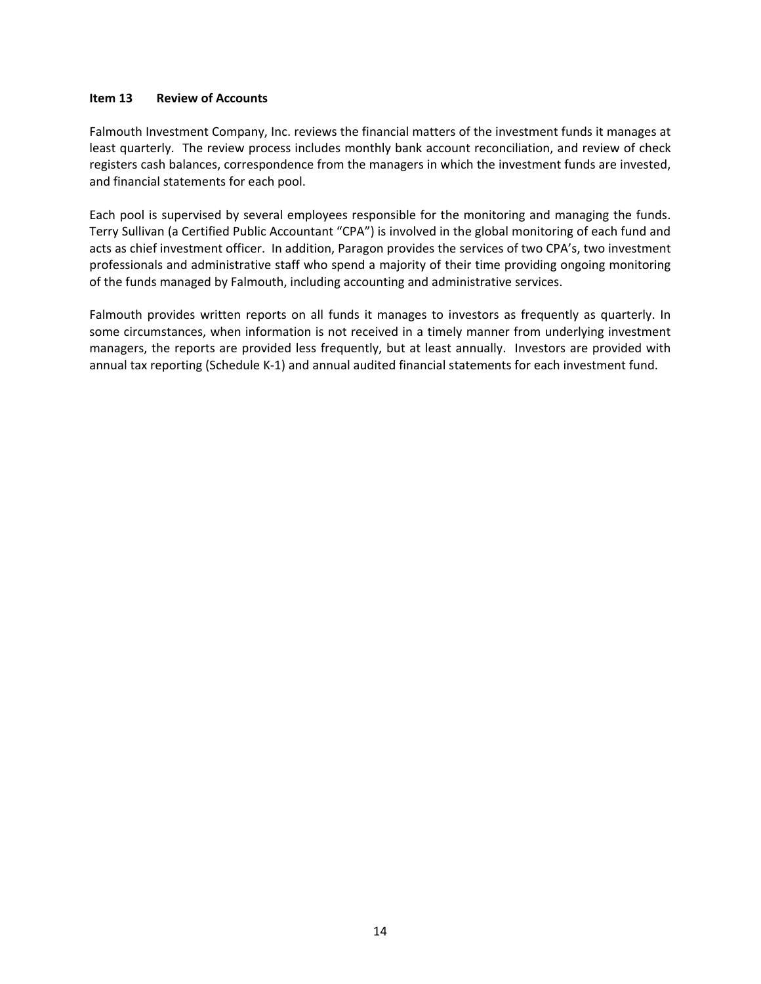#### **Item 13 Review of Accounts**

Falmouth Investment Company, Inc. reviews the financial matters of the investment funds it manages at least quarterly. The review process includes monthly bank account reconciliation, and review of check registers cash balances, correspondence from the managers in which the investment funds are invested, and financial statements for each pool.

Each pool is supervised by several employees responsible for the monitoring and managing the funds. Terry Sullivan (a Certified Public Accountant "CPA") is involved in the global monitoring of each fund and acts as chief investment officer. In addition, Paragon provides the services of two CPA's, two investment professionals and administrative staff who spend a majority of their time providing ongoing monitoring of the funds managed by Falmouth, including accounting and administrative services.

Falmouth provides written reports on all funds it manages to investors as frequently as quarterly. In some circumstances, when information is not received in a timely manner from underlying investment managers, the reports are provided less frequently, but at least annually. Investors are provided with annual tax reporting (Schedule K‐1) and annual audited financial statements for each investment fund.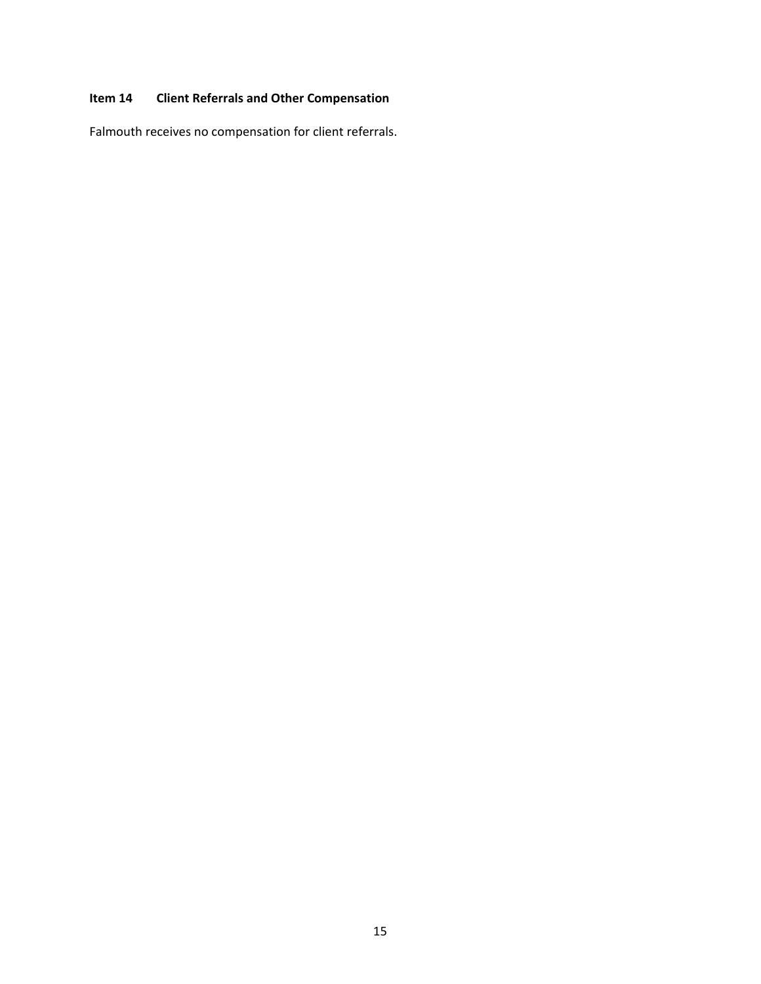# **Item 14 Client Referrals and Other Compensation**

Falmouth receives no compensation for client referrals.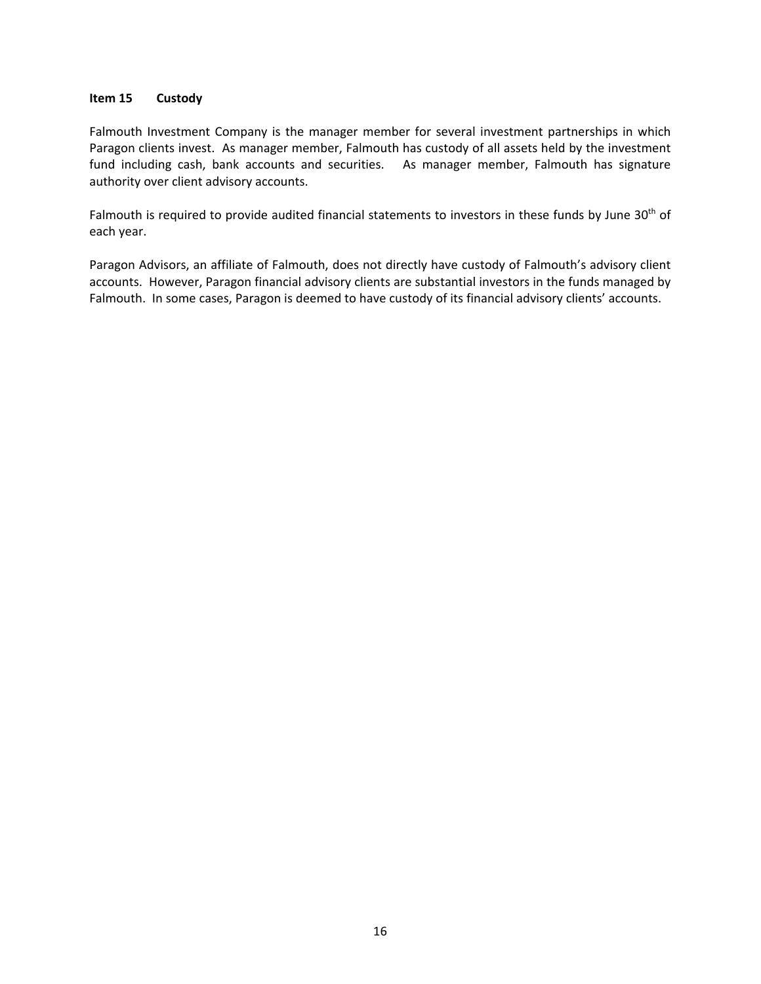#### **Item 15 Custody**

Falmouth Investment Company is the manager member for several investment partnerships in which Paragon clients invest. As manager member, Falmouth has custody of all assets held by the investment fund including cash, bank accounts and securities. As manager member, Falmouth has signature authority over client advisory accounts.

Falmouth is required to provide audited financial statements to investors in these funds by June 30<sup>th</sup> of each year.

Paragon Advisors, an affiliate of Falmouth, does not directly have custody of Falmouth's advisory client accounts. However, Paragon financial advisory clients are substantial investors in the funds managed by Falmouth. In some cases, Paragon is deemed to have custody of its financial advisory clients' accounts.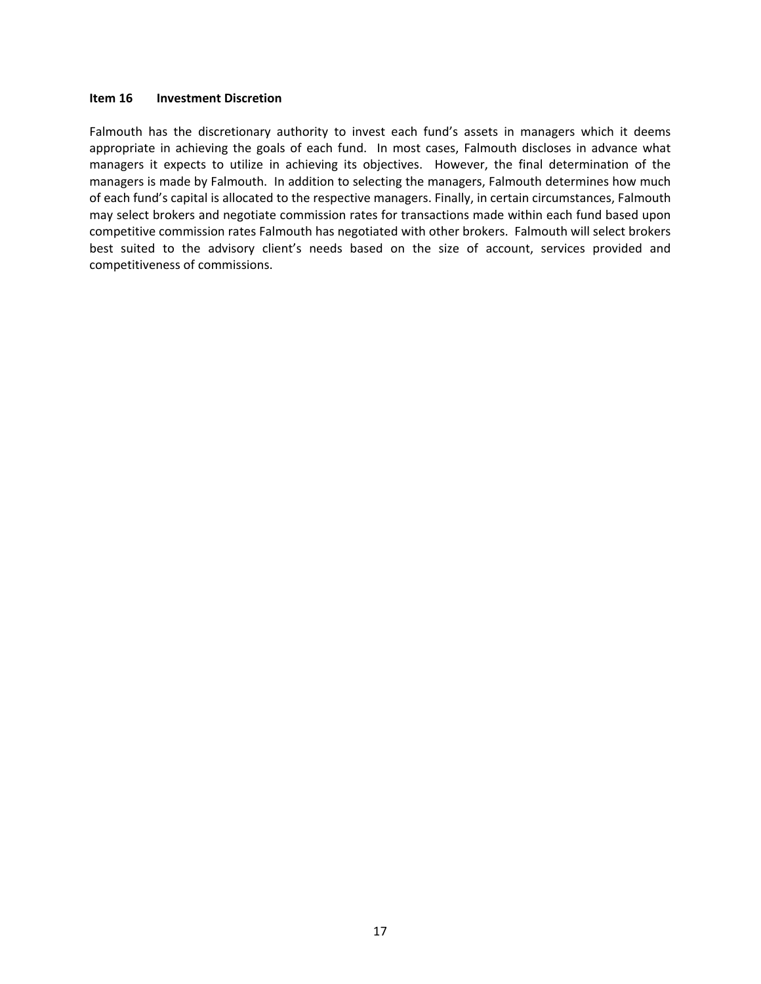#### **Item 16 Investment Discretion**

Falmouth has the discretionary authority to invest each fund's assets in managers which it deems appropriate in achieving the goals of each fund. In most cases, Falmouth discloses in advance what managers it expects to utilize in achieving its objectives. However, the final determination of the managers is made by Falmouth. In addition to selecting the managers, Falmouth determines how much of each fund's capital is allocated to the respective managers. Finally, in certain circumstances, Falmouth may select brokers and negotiate commission rates for transactions made within each fund based upon competitive commission rates Falmouth has negotiated with other brokers. Falmouth will select brokers best suited to the advisory client's needs based on the size of account, services provided and competitiveness of commissions.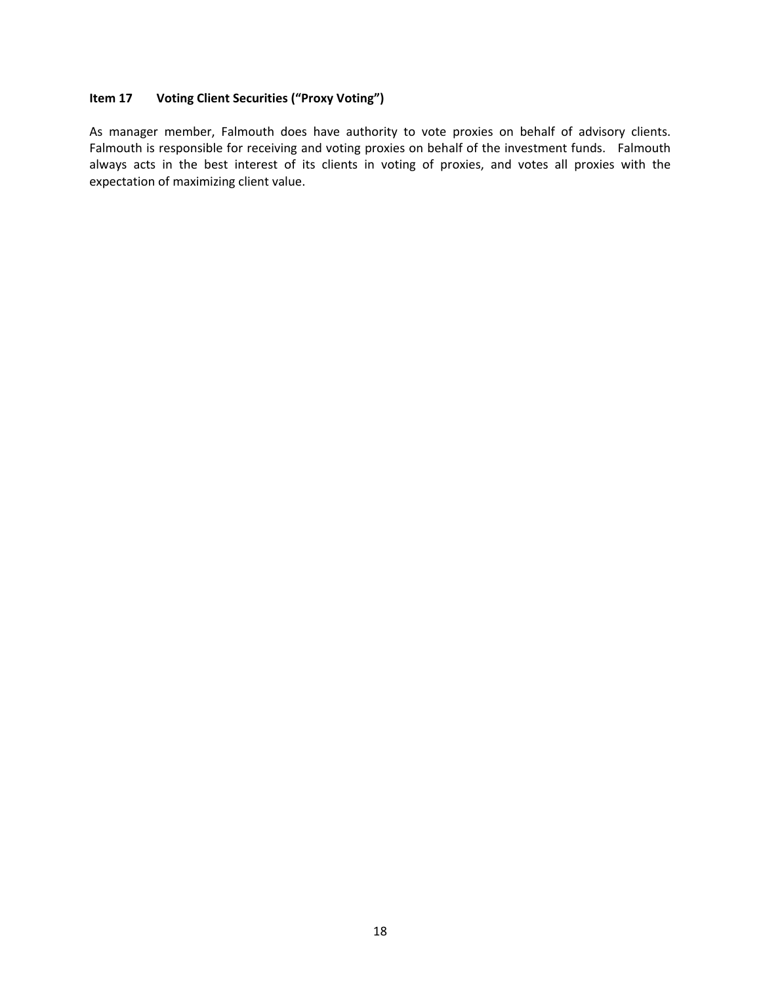## **Item 17 Voting Client Securities ("Proxy Voting")**

As manager member, Falmouth does have authority to vote proxies on behalf of advisory clients. Falmouth is responsible for receiving and voting proxies on behalf of the investment funds. Falmouth always acts in the best interest of its clients in voting of proxies, and votes all proxies with the expectation of maximizing client value.